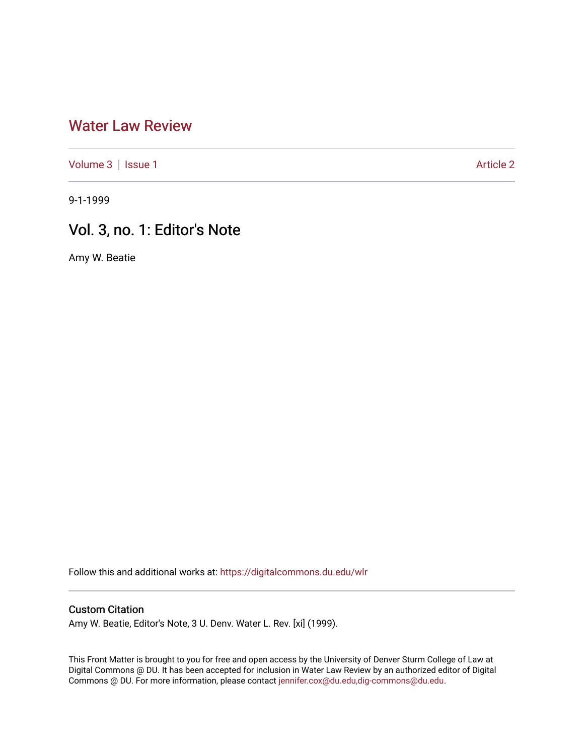## [Water Law Review](https://digitalcommons.du.edu/wlr)

[Volume 3](https://digitalcommons.du.edu/wlr/vol3) | [Issue 1](https://digitalcommons.du.edu/wlr/vol3/iss1) [Article 2](https://digitalcommons.du.edu/wlr/vol3/iss1/2) Article 2

9-1-1999

## Vol. 3, no. 1: Editor's Note

Amy W. Beatie

Follow this and additional works at: [https://digitalcommons.du.edu/wlr](https://digitalcommons.du.edu/wlr?utm_source=digitalcommons.du.edu%2Fwlr%2Fvol3%2Fiss1%2F2&utm_medium=PDF&utm_campaign=PDFCoverPages) 

## Custom Citation

Amy W. Beatie, Editor's Note, 3 U. Denv. Water L. Rev. [xi] (1999).

This Front Matter is brought to you for free and open access by the University of Denver Sturm College of Law at Digital Commons @ DU. It has been accepted for inclusion in Water Law Review by an authorized editor of Digital Commons @ DU. For more information, please contact [jennifer.cox@du.edu,dig-commons@du.edu.](mailto:jennifer.cox@du.edu,dig-commons@du.edu)